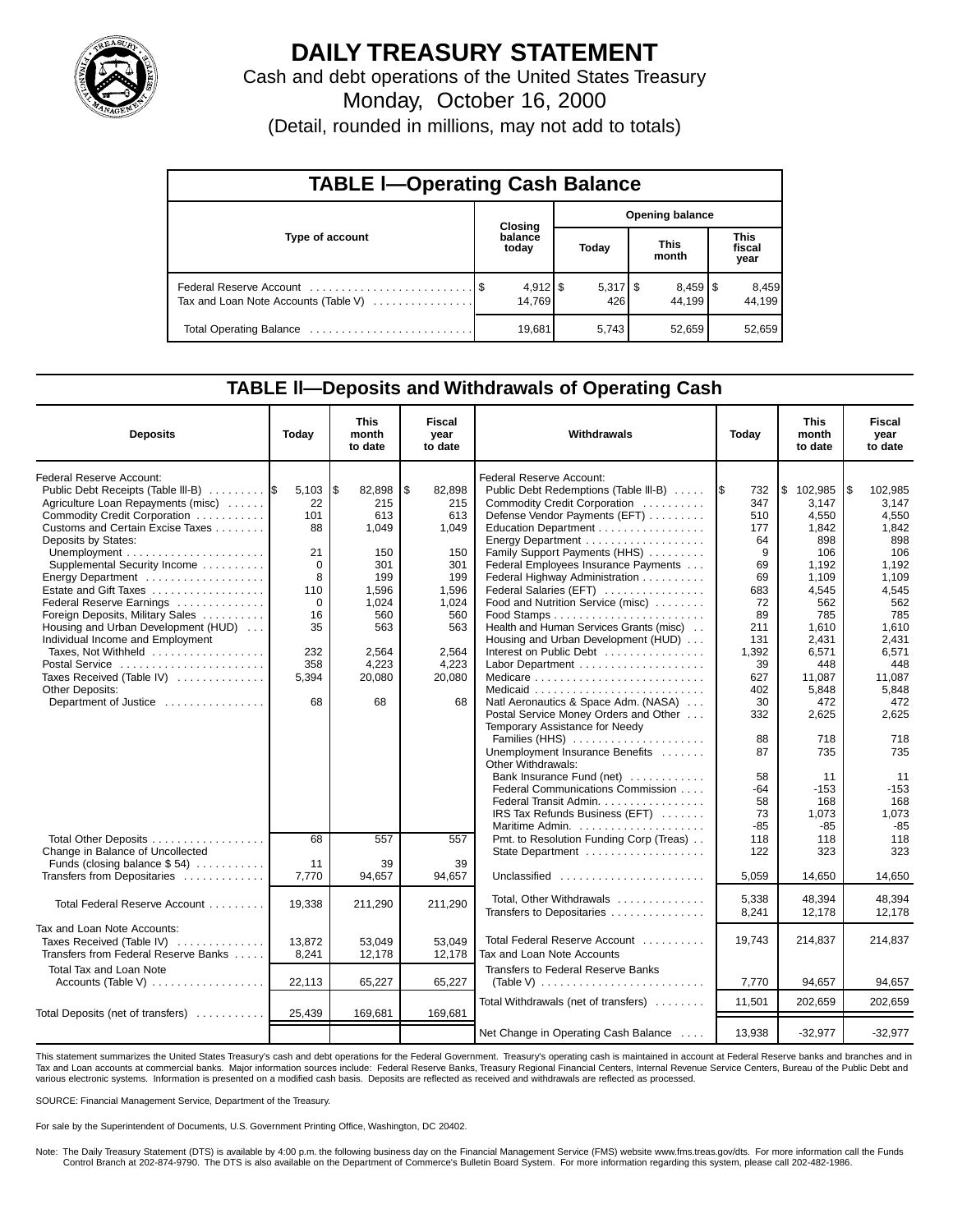

# **DAILY TREASURY STATEMENT**

Cash and debt operations of the United States Treasury

Monday, October 16, 2000

(Detail, rounded in millions, may not add to totals)

| <b>TABLE I-Operating Cash Balance</b> |  |                  |                        |                   |  |                                 |  |                               |  |
|---------------------------------------|--|------------------|------------------------|-------------------|--|---------------------------------|--|-------------------------------|--|
|                                       |  | <b>Closing</b>   | <b>Opening balance</b> |                   |  |                                 |  |                               |  |
| Type of account                       |  | balance<br>today |                        | Today             |  | <b>This</b><br>month            |  | <b>This</b><br>fiscal<br>year |  |
| Tax and Loan Note Accounts (Table V)  |  | 14.769           |                        | $5,317$ \$<br>426 |  | $8,459$ $\frac{8}{3}$<br>44.199 |  | 8,459<br>44.199               |  |
| Total Operating Balance               |  | 19,681           |                        | 5,743             |  | 52,659                          |  | 52,659                        |  |

## **TABLE ll—Deposits and Withdrawals of Operating Cash**

| <b>Deposits</b>                              | Today  | <b>This</b><br>month<br>to date | Fiscal<br>year<br>to date | Withdrawals                                              | Today     | <b>This</b><br>month<br>to date | Fiscal<br>year<br>to date |
|----------------------------------------------|--------|---------------------------------|---------------------------|----------------------------------------------------------|-----------|---------------------------------|---------------------------|
| <b>Federal Reserve Account:</b>              |        |                                 |                           | Federal Reserve Account:                                 |           |                                 |                           |
| Public Debt Receipts (Table III-B)           | 5,103  | l\$<br>82,898                   | \$<br>82,898              | Public Debt Redemptions (Table III-B)                    | 732       | \$102,985                       | 102,985<br>l \$           |
| Agriculture Loan Repayments (misc)           | 22     | 215                             | 215                       | Commodity Credit Corporation                             | 347       | 3.147                           | 3.147                     |
| Commodity Credit Corporation                 | 101    | 613                             | 613                       | Defense Vendor Payments (EFT)                            | 510       | 4.550                           | 4.550                     |
| Customs and Certain Excise Taxes             | 88     | 1.049                           | 1,049                     | Education Department                                     | 177       | 1.842                           | 1.842                     |
| Deposits by States:                          |        |                                 |                           | Energy Department                                        | 64        | 898                             | 898                       |
|                                              | 21     | 150                             | 150                       | Family Support Payments (HHS)                            | 9         | 106                             | 106                       |
| Supplemental Security Income                 | 0      | 301                             | 301                       | Federal Employees Insurance Payments                     | 69        | 1,192                           | 1,192                     |
| Energy Department                            | 8      | 199                             | 199                       | Federal Highway Administration                           | 69        | 1,109                           | 1,109                     |
| Estate and Gift Taxes                        | 110    | 1,596                           | 1,596                     | Federal Salaries (EFT)                                   | 683       | 4,545                           | 4,545                     |
| Federal Reserve Earnings                     | 0      | 1,024                           | 1,024                     | Food and Nutrition Service (misc)                        | 72        | 562                             | 562                       |
| Foreign Deposits, Military Sales             | 16     | 560                             | 560                       |                                                          | 89        | 785                             | 785                       |
| Housing and Urban Development (HUD)          | 35     | 563                             | 563                       | Health and Human Services Grants (misc)                  | 211       | 1,610                           | 1,610                     |
| Individual Income and Employment             |        |                                 |                           | Housing and Urban Development (HUD)                      | 131       | 2,431                           | 2,431                     |
| Taxes, Not Withheld                          | 232    | 2,564                           | 2,564                     | Interest on Public Debt                                  | 1,392     | 6,571                           | 6,571                     |
| Postal Service                               | 358    | 4,223<br>20,080                 | 4,223                     |                                                          | 39<br>627 | 448                             | 448                       |
| Taxes Received (Table IV)<br>Other Deposits: | 5,394  |                                 | 20,080                    |                                                          | 402       | 11,087<br>5,848                 | 11,087<br>5,848           |
| Department of Justice                        | 68     | 68                              | 68                        | Natl Aeronautics & Space Adm. (NASA)                     | 30        | 472                             | 472                       |
|                                              |        |                                 |                           | Postal Service Money Orders and Other                    | 332       | 2,625                           | 2,625                     |
|                                              |        |                                 |                           | Temporary Assistance for Needy                           |           |                                 |                           |
|                                              |        |                                 |                           | Families (HHS)                                           | 88        | 718                             | 718                       |
|                                              |        |                                 |                           | Unemployment Insurance Benefits                          | 87        | 735                             | 735                       |
|                                              |        |                                 |                           | Other Withdrawals:                                       |           |                                 |                           |
|                                              |        |                                 |                           | Bank Insurance Fund (net)                                | 58        | 11                              | 11                        |
|                                              |        |                                 |                           | Federal Communications Commission                        | -64       | $-153$                          | $-153$                    |
|                                              |        |                                 |                           | Federal Transit Admin.                                   | 58        | 168                             | 168                       |
|                                              |        |                                 |                           | IRS Tax Refunds Business (EFT)                           | 73        | 1,073                           | 1,073                     |
|                                              |        |                                 |                           |                                                          | $-85$     | $-85$                           | $-85$                     |
| Total Other Deposits                         | 68     | 557                             | 557                       | Pmt. to Resolution Funding Corp (Treas)                  | 118       | 118                             | 118                       |
| Change in Balance of Uncollected             |        |                                 |                           |                                                          | 122       | 323                             | 323                       |
| Funds (closing balance $$54$ )               | 11     | 39                              | 39                        |                                                          |           |                                 |                           |
| Transfers from Depositaries                  | 7,770  | 94,657                          | 94,657                    | Unclassified $\ldots \ldots \ldots \ldots \ldots \ldots$ | 5,059     | 14,650                          | 14.650                    |
|                                              |        |                                 |                           | Total, Other Withdrawals                                 | 5.338     | 48.394                          | 48.394                    |
| Total Federal Reserve Account                | 19,338 | 211,290                         | 211,290                   | Transfers to Depositaries                                | 8,241     | 12,178                          | 12,178                    |
| Tax and Loan Note Accounts:                  |        |                                 |                           |                                                          |           |                                 |                           |
| Taxes Received (Table IV)                    | 13,872 | 53,049                          | 53,049                    | Total Federal Reserve Account                            | 19,743    | 214,837                         | 214,837                   |
| Transfers from Federal Reserve Banks         | 8,241  | 12,178                          | 12,178                    | Tax and Loan Note Accounts                               |           |                                 |                           |
| <b>Total Tax and Loan Note</b>               |        |                                 |                           | Transfers to Federal Reserve Banks                       |           |                                 |                           |
| Accounts (Table V)                           | 22,113 | 65,227                          | 65,227                    |                                                          | 7,770     | 94,657                          | 94,657                    |
|                                              |        |                                 |                           |                                                          |           |                                 |                           |
| Total Deposits (net of transfers)            | 25,439 | 169,681                         | 169,681                   | Total Withdrawals (net of transfers)                     | 11,501    | 202,659                         | 202,659                   |
|                                              |        |                                 |                           | Net Change in Operating Cash Balance                     | 13,938    | $-32,977$                       | $-32,977$                 |

This statement summarizes the United States Treasury's cash and debt operations for the Federal Government. Treasury's operating cash is maintained in account at Federal Reserve banks and branches and in<br>Tax and Loan accou various electronic systems. Information is presented on a modified cash basis. Deposits are reflected as received and withdrawals are reflected as processed.

SOURCE: Financial Management Service, Department of the Treasury.

For sale by the Superintendent of Documents, U.S. Government Printing Office, Washington, DC 20402.

Note: The Daily Treasury Statement (DTS) is available by 4:00 p.m. the following business day on the Financial Management Service (FMS) website www.fms.treas.gov/dts. For more information call the Funds Control Branch at 202-874-9790. The DTS is also available on the Department of Commerce's Bulletin Board System. For more information regarding this system, please call 202-482-1986.